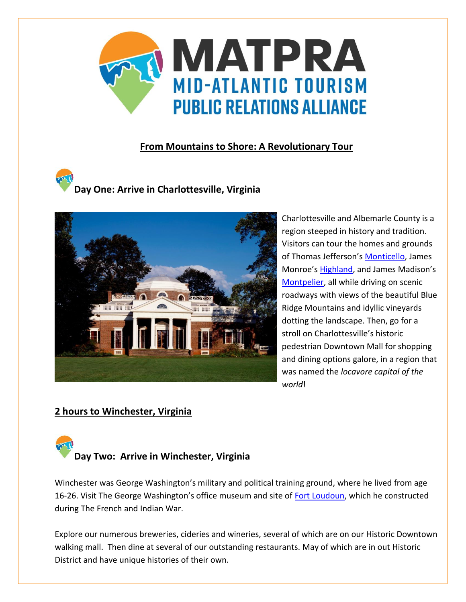

### **From Mountains to Shore: A Revolutionary Tour**

# **Day One: Arrive in Charlottesville, Virginia**



Charlottesville and Albemarle County is a region steeped in history and tradition. Visitors can tour the homes and grounds of Thomas Jefferson's [Monticello,](https://home.monticello.org/) James Monroe's [Highland](https://highland.org/), and James Madison's [Montpelier,](https://www.montpelier.org/) all while driving on scenic roadways with views of the beautiful Blue Ridge Mountains and idyllic vineyards dotting the landscape. Then, go for a stroll on Charlottesville's historic pedestrian Downtown Mall for shopping and dining options galore, in a region that was named the *locavore capital of the world*!

### **2 hours to Winchester, Virginia**

**Day Two: Arrive in Winchester, Virginia**

Winchester was George Washington's military and political training ground, where he lived from age 16-26. Visit The George Washington's office museum and site of [Fort Loudoun,](http://frenchandindianwarfoundation.org/about-us/fort-loudoun/) which he constructed during The French and Indian War.

Explore our numerous breweries, cideries and wineries, several of which are on our Historic Downtown walking mall. Then dine at several of our outstanding restaurants. May of which are in out Historic District and have unique histories of their own.